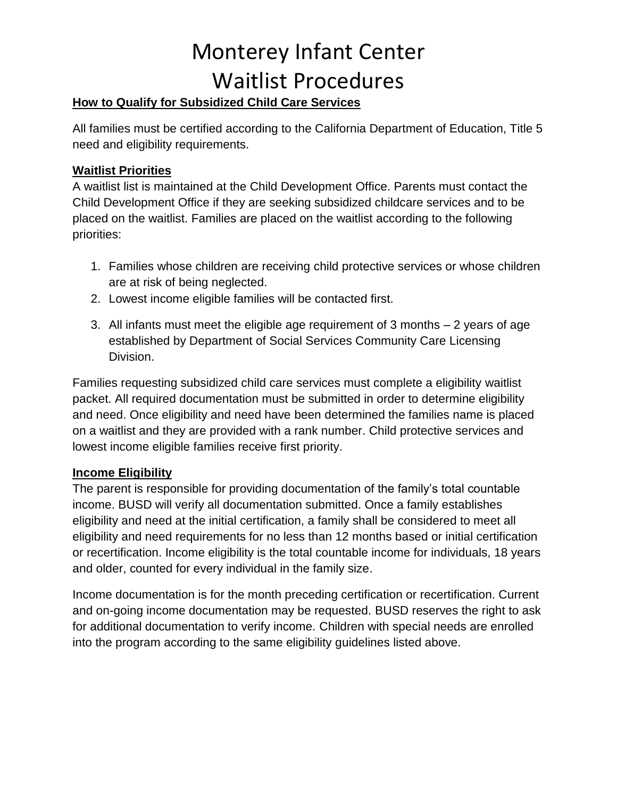# Monterey Infant Center Waitlist Procedures

### **How to Qualify for Subsidized Child Care Services**

All families must be certified according to the California Department of Education, Title 5 need and eligibility requirements.

### **Waitlist Priorities**

A waitlist list is maintained at the Child Development Office. Parents must contact the Child Development Office if they are seeking subsidized childcare services and to be placed on the waitlist. Families are placed on the waitlist according to the following priorities:

- 1. Families whose children are receiving child protective services or whose children are at risk of being neglected.
- 2. Lowest income eligible families will be contacted first.
- 3. All infants must meet the eligible age requirement of 3 months 2 years of age established by Department of Social Services Community Care Licensing Division.

Families requesting subsidized child care services must complete a eligibility waitlist packet. All required documentation must be submitted in order to determine eligibility and need. Once eligibility and need have been determined the families name is placed on a waitlist and they are provided with a rank number. Child protective services and lowest income eligible families receive first priority.

#### **Income Eligibility**

The parent is responsible for providing documentation of the family's total countable income. BUSD will verify all documentation submitted. Once a family establishes eligibility and need at the initial certification, a family shall be considered to meet all eligibility and need requirements for no less than 12 months based or initial certification or recertification. Income eligibility is the total countable income for individuals, 18 years and older, counted for every individual in the family size.

Income documentation is for the month preceding certification or recertification. Current and on-going income documentation may be requested. BUSD reserves the right to ask for additional documentation to verify income*.* Children with special needs are enrolled into the program according to the same eligibility guidelines listed above.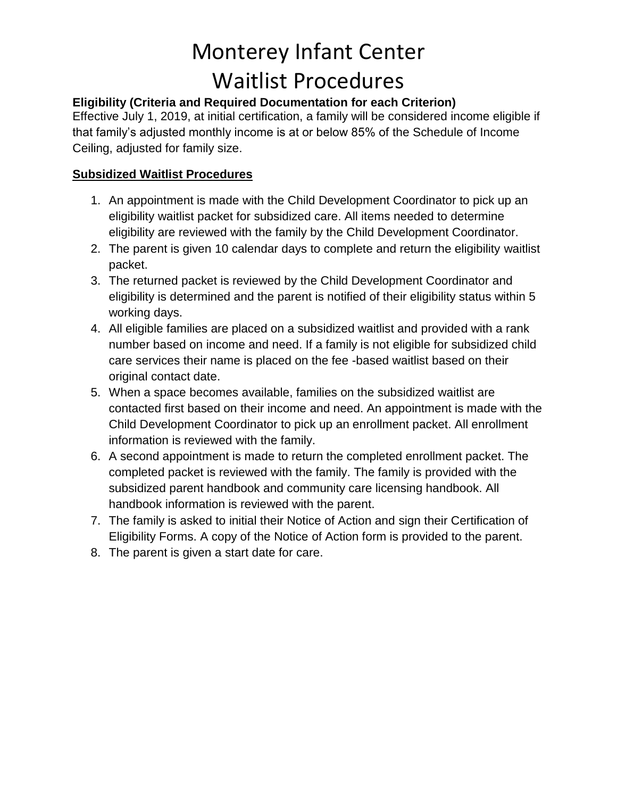### Monterey Infant Center Waitlist Procedures

### **Eligibility (Criteria and Required Documentation for each Criterion)**

Effective July 1, 2019, at initial certification, a family will be considered income eligible if that family's adjusted monthly income is at or below 85% of the Schedule of Income Ceiling, adjusted for family size.

#### **Subsidized Waitlist Procedures**

- 1. An appointment is made with the Child Development Coordinator to pick up an eligibility waitlist packet for subsidized care. All items needed to determine eligibility are reviewed with the family by the Child Development Coordinator.
- 2. The parent is given 10 calendar days to complete and return the eligibility waitlist packet.
- 3. The returned packet is reviewed by the Child Development Coordinator and eligibility is determined and the parent is notified of their eligibility status within 5 working days.
- 4. All eligible families are placed on a subsidized waitlist and provided with a rank number based on income and need. If a family is not eligible for subsidized child care services their name is placed on the fee -based waitlist based on their original contact date.
- 5. When a space becomes available, families on the subsidized waitlist are contacted first based on their income and need. An appointment is made with the Child Development Coordinator to pick up an enrollment packet. All enrollment information is reviewed with the family.
- 6. A second appointment is made to return the completed enrollment packet. The completed packet is reviewed with the family. The family is provided with the subsidized parent handbook and community care licensing handbook. All handbook information is reviewed with the parent.
- 7. The family is asked to initial their Notice of Action and sign their Certification of Eligibility Forms. A copy of the Notice of Action form is provided to the parent.
- 8. The parent is given a start date for care.